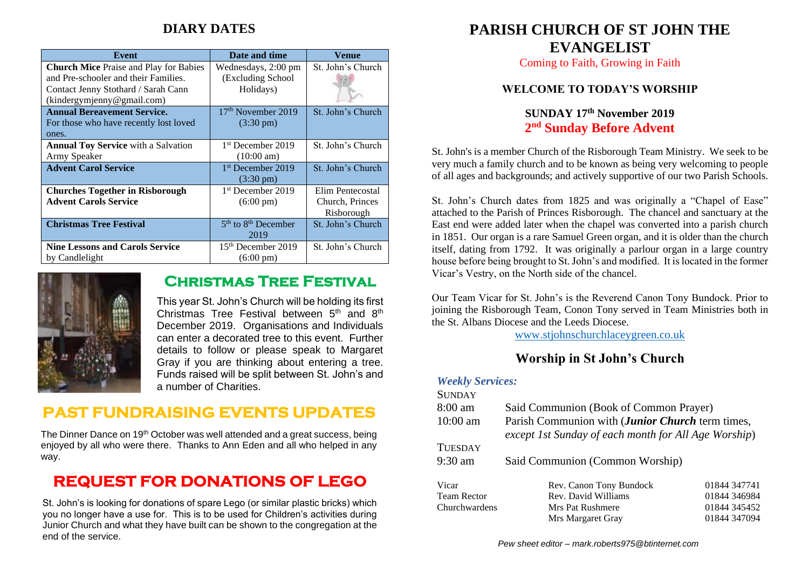## **DIARY DATES**

| Event                                         | Date and time                 | Venue             |
|-----------------------------------------------|-------------------------------|-------------------|
| <b>Church Mice</b> Praise and Play for Babies | Wednesdays, 2:00 pm           | St. John's Church |
| and Pre-schooler and their Families.          | (Excluding School             |                   |
| Contact Jenny Stothard / Sarah Cann           | Holidays)                     |                   |
| (kindergymjenny@gmail.com)                    |                               |                   |
| <b>Annual Bereavement Service.</b>            | $17th$ November 2019          | St. John's Church |
| For those who have recently lost loved        | $(3:30 \text{ pm})$           |                   |
| ones.                                         |                               |                   |
| <b>Annual Toy Service</b> with a Salvation    | 1 <sup>st</sup> December 2019 | St. John's Church |
| Army Speaker                                  | $(10:00 \text{ am})$          |                   |
| <b>Advent Carol Service</b>                   | 1 <sup>st</sup> December 2019 | St. John's Church |
|                                               | $(3:30 \text{ pm})$           |                   |
| <b>Churches Together in Risborough</b>        | 1 <sup>st</sup> December 2019 | Elim Pentecostal  |
| <b>Advent Carols Service</b>                  | $(6:00 \text{ pm})$           | Church, Princes   |
|                                               |                               | Risborough        |
| <b>Christmas Tree Festival</b>                | $5th$ to $8th$ December       | St. John's Church |
|                                               | 2019                          |                   |
| <b>Nine Lessons and Carols Service</b>        | $15th$ December 2019          | St. John's Church |
| by Candlelight                                | $(6:00 \text{ pm})$           |                   |



## **Christmas Tree Festival**

This year St. John's Church will be holding its first Christmas Tree Festival between  $5<sup>th</sup>$  and  $8<sup>th</sup>$ December 2019. Organisations and Individuals can enter a decorated tree to this event. Further details to follow or please speak to Margaret Gray if you are thinking about entering a tree. Funds raised will be split between St. John's and a number of Charities.

# **PAST FUNDRAISING EVENTS UPDATES**

The Dinner Dance on 19<sup>th</sup> October was well attended and a great success, being enjoyed by all who were there. Thanks to Ann Eden and all who helped in any way.

# **REQUEST FOR DONATIONS OF LEGO**

St. John's is looking for donations of spare Lego (or similar plastic bricks) which you no longer have a use for. This is to be used for Children's activities during Junior Church and what they have built can be shown to the congregation at the end of the service.

## **PARISH CHURCH OF ST JOHN THE EVANGELIST**

Coming to Faith, Growing in Faith

### **WELCOME TO TODAY'S WORSHIP**

## **SUNDAY 17th November 2019 2 nd Sunday Before Advent**

St. John's is a member Church of the Risborough Team Ministry. We seek to be very much a family church and to be known as being very welcoming to people of all ages and backgrounds; and actively supportive of our two Parish Schools.

St. John's Church dates from 1825 and was originally a "Chapel of Ease" attached to the Parish of Princes Risborough. The chancel and sanctuary at the East end were added later when the chapel was converted into a parish church in 1851. Our organ is a rare Samuel Green organ, and it is older than the church itself, dating from 1792. It was originally a parlour organ in a large country house before being brought to St. John's and modified. It is located in the former Vicar's Vestry, on the North side of the chancel.

Our Team Vicar for St. John's is the Reverend Canon Tony Bundock. Prior to joining the Risborough Team, Conon Tony served in Team Ministries both in the St. Albans Diocese and the Leeds Diocese.

[www.stjohnschurchlaceygreen.co.uk](http://www.stjohnschurchlaceygreen.co.uk/)

## **Worship in St John's Church**

### *Weekly Services:*

| <b>SUNDAY</b>      |                                                                                                          |              |  |
|--------------------|----------------------------------------------------------------------------------------------------------|--------------|--|
| $8:00 \text{ am}$  | Said Communion (Book of Common Prayer)                                                                   |              |  |
| $10:00$ am         | Parish Communion with (Junior Church term times,<br>except 1st Sunday of each month for All Age Worship) |              |  |
| <b>TUESDAY</b>     |                                                                                                          |              |  |
| $9:30$ am          | Said Communion (Common Worship)                                                                          |              |  |
| Vicar              | Rev. Canon Tony Bundock                                                                                  | 01844 347741 |  |
| <b>Team Rector</b> | Rev. David Williams                                                                                      | 01844 346984 |  |
| Churchwardens      | Mrs Pat Rushmere                                                                                         | 01844 345452 |  |
|                    | Mrs Margaret Gray                                                                                        | 01844 347094 |  |